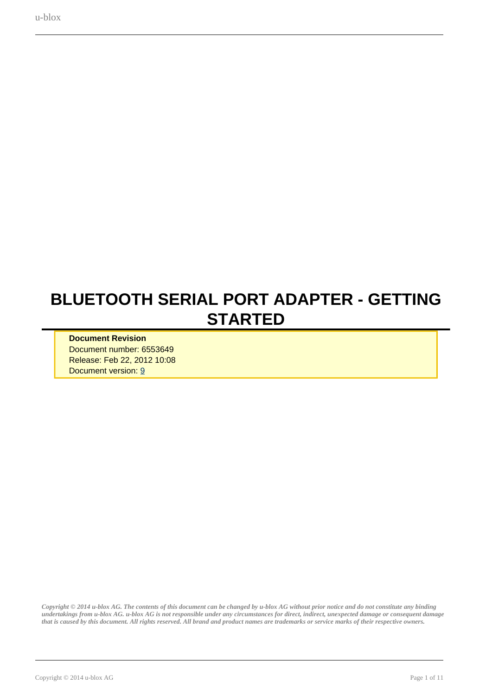# <span id="page-0-0"></span>**BLUETOOTH SERIAL PORT ADAPTER - GETTING STARTED**

**Document Revision** Document number: 6553649 Release: Feb 22, 2012 10:08 Document version: [9](#page-0-0)

*Copyright © 2014 u-blox AG. The contents of this document can be changed by u-blox AG without prior notice and do not constitute any binding undertakings from u-blox AG. u-blox AG is not responsible under any circumstances for direct, indirect, unexpected damage or consequent damage that is caused by this document. All rights reserved. All brand and product names are trademarks or service marks of their respective owners.*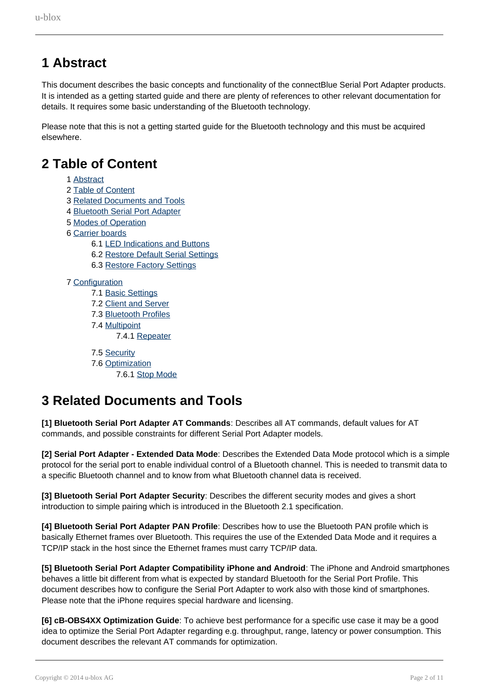## <span id="page-1-0"></span>**1 Abstract**

This document describes the basic concepts and functionality of the connectBlue Serial Port Adapter products. It is intended as a getting started guide and there are plenty of references to other relevant documentation for details. It requires some basic understanding of the Bluetooth technology.

Please note that this is not a getting started guide for the Bluetooth technology and this must be acquired elsewhere.

### <span id="page-1-1"></span>**2 Table of Content**

- 1 [Abstract](#page-1-0)
- 2 [Table of Content](#page-1-1)
- 3 [Related Documents and Tools](#page-1-2)
- 4 [Bluetooth Serial Port Adapter](#page-2-0)
- 5 [Modes of Operation](#page-3-0)
- 6 [Carrier boards](#page-4-0)
	- 6.1 [LED Indications and Buttons](#page-4-1)
	- 6.2 [Restore Default Serial Settings](#page-5-0)
	- 6.3 [Restore Factory Settings](#page-5-1)

#### 7 [Configuration](#page-5-2)

- 7.1 [Basic Settings](#page-5-3)
- 7.2 [Client and Server](#page-6-0)
- 7.3 [Bluetooth Profiles](#page-7-0)
- 7.4 [Multipoint](#page-7-1)

7.4.1 [Repeater](#page-8-0)

7.5 [Security](#page-9-0)

- 7.6 [Optimization](#page-9-1)
	- 7.6.1 [Stop Mode](#page-9-2)

### <span id="page-1-2"></span>**3 Related Documents and Tools**

**[1] Bluetooth Serial Port Adapter AT Commands**: Describes all AT commands, default values for AT commands, and possible constraints for different Serial Port Adapter models.

**[2] Serial Port Adapter - Extended Data Mode**: Describes the Extended Data Mode protocol which is a simple protocol for the serial port to enable individual control of a Bluetooth channel. This is needed to transmit data to a specific Bluetooth channel and to know from what Bluetooth channel data is received.

**[3] Bluetooth Serial Port Adapter Security**: Describes the different security modes and gives a short introduction to simple pairing which is introduced in the Bluetooth 2.1 specification.

**[4] Bluetooth Serial Port Adapter PAN Profile**: Describes how to use the Bluetooth PAN profile which is basically Ethernet frames over Bluetooth. This requires the use of the Extended Data Mode and it requires a TCP/IP stack in the host since the Ethernet frames must carry TCP/IP data.

**[5] Bluetooth Serial Port Adapter Compatibility iPhone and Android**: The iPhone and Android smartphones behaves a little bit different from what is expected by standard Bluetooth for the Serial Port Profile. This document describes how to configure the Serial Port Adapter to work also with those kind of smartphones. Please note that the iPhone requires special hardware and licensing.

**[6] cB-OBS4XX Optimization Guide**: To achieve best performance for a specific use case it may be a good idea to optimize the Serial Port Adapter regarding e.g. throughput, range, latency or power consumption. This document describes the relevant AT commands for optimization.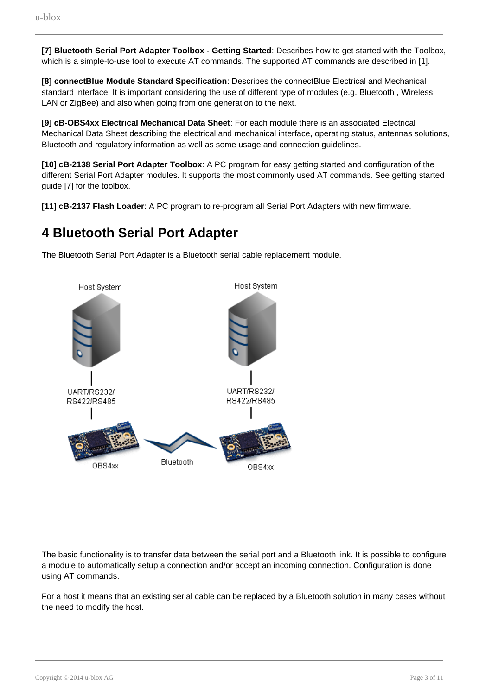**[7] Bluetooth Serial Port Adapter Toolbox - Getting Started**: Describes how to get started with the Toolbox, which is a simple-to-use tool to execute AT commands. The supported AT commands are described in [1].

**[8] connectBlue Module Standard Specification**: Describes the connectBlue Electrical and Mechanical standard interface. It is important considering the use of different type of modules (e.g. Bluetooth , Wireless LAN or ZigBee) and also when going from one generation to the next.

**[9] cB-OBS4xx Electrical Mechanical Data Sheet**: For each module there is an associated Electrical Mechanical Data Sheet describing the electrical and mechanical interface, operating status, antennas solutions, Bluetooth and regulatory information as well as some usage and connection guidelines.

**[10] cB-2138 Serial Port Adapter Toolbox**: A PC program for easy getting started and configuration of the different Serial Port Adapter modules. It supports the most commonly used AT commands. See getting started guide [7] for the toolbox.

**[11] cB-2137 Flash Loader**: A PC program to re-program all Serial Port Adapters with new firmware.

### <span id="page-2-0"></span>**4 Bluetooth Serial Port Adapter**

The Bluetooth Serial Port Adapter is a Bluetooth serial cable replacement module.



The basic functionality is to transfer data between the serial port and a Bluetooth link. It is possible to configure a module to automatically setup a connection and/or accept an incoming connection. Configuration is done using AT commands.

For a host it means that an existing serial cable can be replaced by a Bluetooth solution in many cases without the need to modify the host.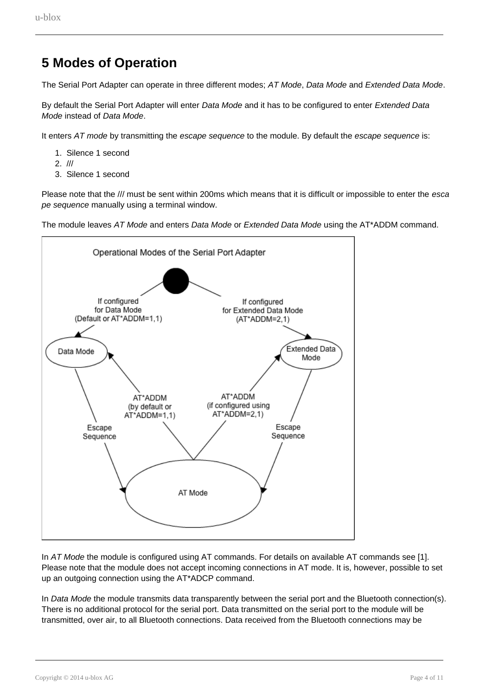## <span id="page-3-0"></span>**5 Modes of Operation**

The Serial Port Adapter can operate in three different modes; AT Mode, Data Mode and Extended Data Mode.

By default the Serial Port Adapter will enter Data Mode and it has to be configured to enter Extended Data Mode instead of Data Mode.

It enters AT mode by transmitting the escape sequence to the module. By default the escape sequence is:

- 1. Silence 1 second
- 2. ///
- 3. Silence 1 second

Please note that the /// must be sent within 200ms which means that it is difficult or impossible to enter the esca pe sequence manually using a terminal window.

The module leaves AT Mode and enters Data Mode or Extended Data Mode using the AT\*ADDM command.



In AT Mode the module is configured using AT commands. For details on available AT commands see [1]. Please note that the module does not accept incoming connections in AT mode. It is, however, possible to set up an outgoing connection using the AT\*ADCP command.

In Data Mode the module transmits data transparently between the serial port and the Bluetooth connection(s). There is no additional protocol for the serial port. Data transmitted on the serial port to the module will be transmitted, over air, to all Bluetooth connections. Data received from the Bluetooth connections may be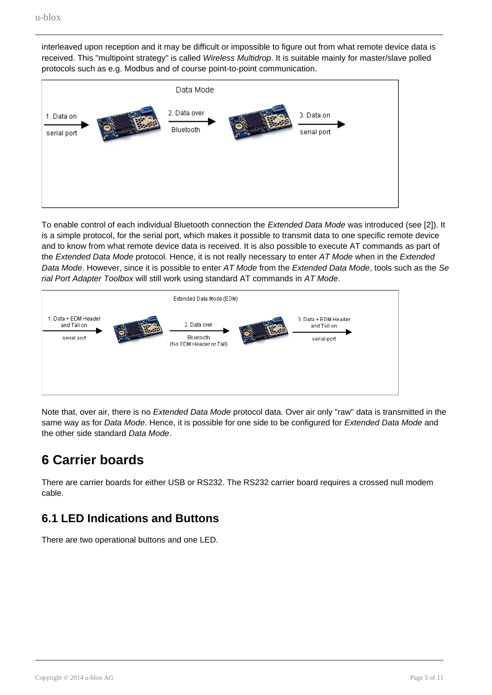interleaved upon reception and it may be difficult or impossible to figure out from what remote device data is received. This "multipoint strategy" is called Wireless Multidrop. It is suitable mainly for master/slave polled protocols such as e.g. Modbus and of course point-to-point communication.



To enable control of each individual Bluetooth connection the Extended Data Mode was introduced (see [2]). It is a simple protocol, for the serial port, which makes it possible to transmit data to one specific remote device and to know from what remote device data is received. It is also possible to execute AT commands as part of the Extended Data Mode protocol. Hence, it is not really necessary to enter AT Mode when in the Extended Data Mode. However, since it is possible to enter AT Mode from the Extended Data Mode, tools such as the Se rial Port Adapter Toolbox will still work using standard AT commands in AT Mode.



Note that, over air, there is no *Extended Data Mode* protocol data. Over air only "raw" data is transmitted in the same way as for Data Mode. Hence, it is possible for one side to be configured for Extended Data Mode and the other side standard Data Mode.

## <span id="page-4-0"></span>**6 Carrier boards**

There are carrier boards for either USB or RS232. The RS232 carrier board requires a crossed null modem cable.

#### <span id="page-4-1"></span>**6.1 LED Indications and Buttons**

There are two operational buttons and one LED.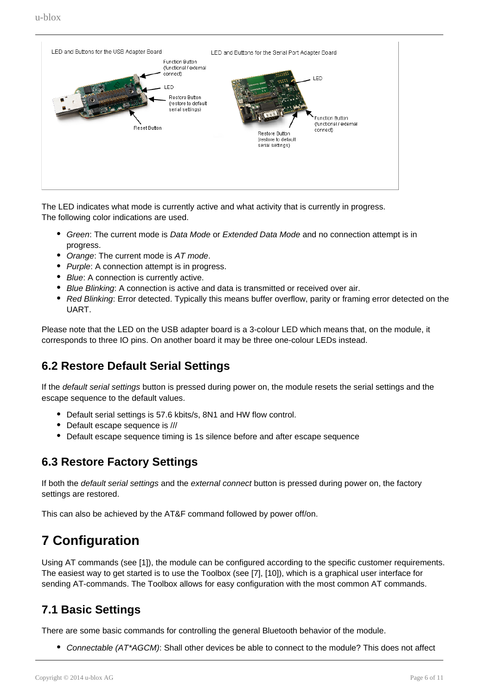

The LED indicates what mode is currently active and what activity that is currently in progress. The following color indications are used.

- Green: The current mode is Data Mode or Extended Data Mode and no connection attempt is in progress.
- Orange: The current mode is AT mode.
- Purple: A connection attempt is in progress.
- Blue: A connection is currently active.
- Blue Blinking: A connection is active and data is transmitted or received over air.
- Red Blinking: Error detected. Typically this means buffer overflow, parity or framing error detected on the UART.

Please note that the LED on the USB adapter board is a 3-colour LED which means that, on the module, it corresponds to three IO pins. On another board it may be three one-colour LEDs instead.

#### <span id="page-5-0"></span>**6.2 Restore Default Serial Settings**

If the default serial settings button is pressed during power on, the module resets the serial settings and the escape sequence to the default values.

- Default serial settings is 57.6 kbits/s, 8N1 and HW flow control.
- Default escape sequence is ///
- Default escape sequence timing is 1s silence before and after escape sequence

#### <span id="page-5-1"></span>**6.3 Restore Factory Settings**

If both the *default serial settings* and the *external connect* button is pressed during power on, the factory settings are restored.

This can also be achieved by the AT&F command followed by power off/on.

### <span id="page-5-2"></span>**7 Configuration**

Using AT commands (see [1]), the module can be configured according to the specific customer requirements. The easiest way to get started is to use the Toolbox (see [7], [10]), which is a graphical user interface for sending AT-commands. The Toolbox allows for easy configuration with the most common AT commands.

#### <span id="page-5-3"></span>**7.1 Basic Settings**

There are some basic commands for controlling the general Bluetooth behavior of the module.

• Connectable (AT\*AGCM): Shall other devices be able to connect to the module? This does not affect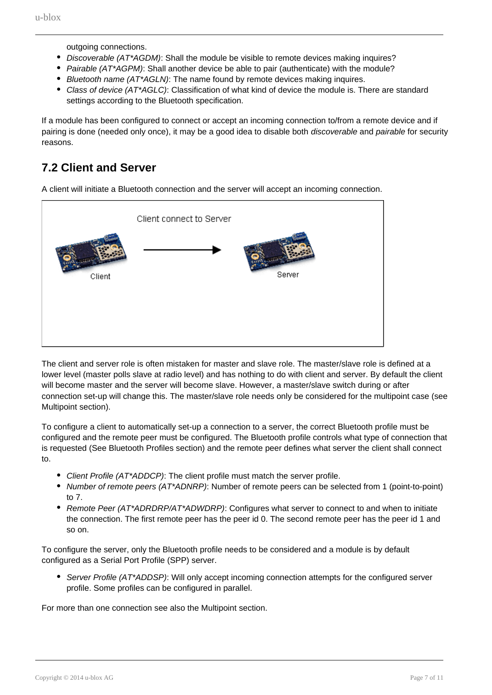outgoing connections.

- Discoverable (AT\*AGDM): Shall the module be visible to remote devices making inquires?
- Pairable (AT\*AGPM): Shall another device be able to pair (authenticate) with the module?
- **Bluetooth name (AT\*AGLN): The name found by remote devices making inquires.**
- Class of device (AT\*AGLC): Classification of what kind of device the module is. There are standard settings according to the Bluetooth specification.

If a module has been configured to connect or accept an incoming connection to/from a remote device and if pairing is done (needed only once), it may be a good idea to disable both *discoverable* and *pairable* for security reasons.

### <span id="page-6-0"></span>**7.2 Client and Server**

A client will initiate a Bluetooth connection and the server will accept an incoming connection.



The client and server role is often mistaken for master and slave role. The master/slave role is defined at a lower level (master polls slave at radio level) and has nothing to do with client and server. By default the client will become master and the server will become slave. However, a master/slave switch during or after connection set-up will change this. The master/slave role needs only be considered for the multipoint case (see Multipoint section).

To configure a client to automatically set-up a connection to a server, the correct Bluetooth profile must be configured and the remote peer must be configured. The Bluetooth profile controls what type of connection that is requested (See Bluetooth Profiles section) and the remote peer defines what server the client shall connect to.

- Client Profile (AT\*ADDCP): The client profile must match the server profile.
- Number of remote peers (AT\*ADNRP): Number of remote peers can be selected from 1 (point-to-point) to 7.
- Remote Peer (AT\*ADRDRP/AT\*ADWDRP): Configures what server to connect to and when to initiate the connection. The first remote peer has the peer id 0. The second remote peer has the peer id 1 and so on.

To configure the server, only the Bluetooth profile needs to be considered and a module is by default configured as a Serial Port Profile (SPP) server.

• Server Profile (AT\*ADDSP): Will only accept incoming connection attempts for the configured server profile. Some profiles can be configured in parallel.

For more than one connection see also the Multipoint section.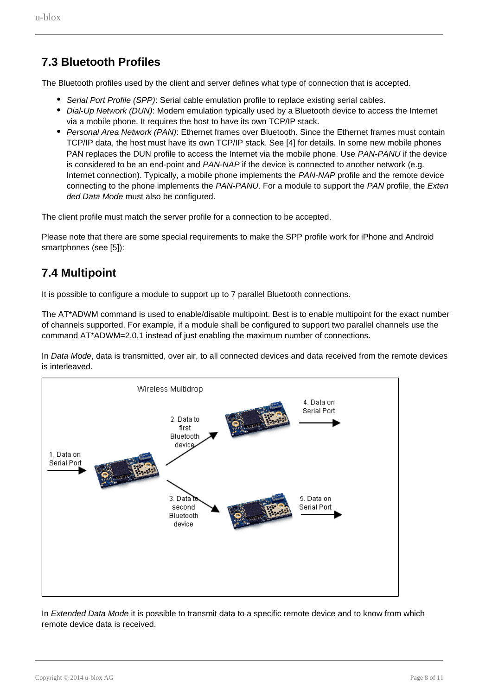### <span id="page-7-0"></span>**7.3 Bluetooth Profiles**

The Bluetooth profiles used by the client and server defines what type of connection that is accepted.

- Serial Port Profile (SPP): Serial cable emulation profile to replace existing serial cables.
- Dial-Up Network (DUN): Modem emulation typically used by a Bluetooth device to access the Internet via a mobile phone. It requires the host to have its own TCP/IP stack.
- Personal Area Network (PAN): Ethernet frames over Bluetooth. Since the Ethernet frames must contain TCP/IP data, the host must have its own TCP/IP stack. See [4] for details. In some new mobile phones PAN replaces the DUN profile to access the Internet via the mobile phone. Use PAN-PANU if the device is considered to be an end-point and PAN-NAP if the device is connected to another network (e.g. Internet connection). Typically, a mobile phone implements the PAN-NAP profile and the remote device connecting to the phone implements the PAN-PANU. For a module to support the PAN profile, the Exten ded Data Mode must also be configured.

The client profile must match the server profile for a connection to be accepted.

Please note that there are some special requirements to make the SPP profile work for iPhone and Android smartphones (see [5]):

#### <span id="page-7-1"></span>**7.4 Multipoint**

It is possible to configure a module to support up to 7 parallel Bluetooth connections.

The AT\*ADWM command is used to enable/disable multipoint. Best is to enable multipoint for the exact number of channels supported. For example, if a module shall be configured to support two parallel channels use the command AT\*ADWM=2,0,1 instead of just enabling the maximum number of connections.

In Data Mode, data is transmitted, over air, to all connected devices and data received from the remote devices is interleaved.



In Extended Data Mode it is possible to transmit data to a specific remote device and to know from which remote device data is received.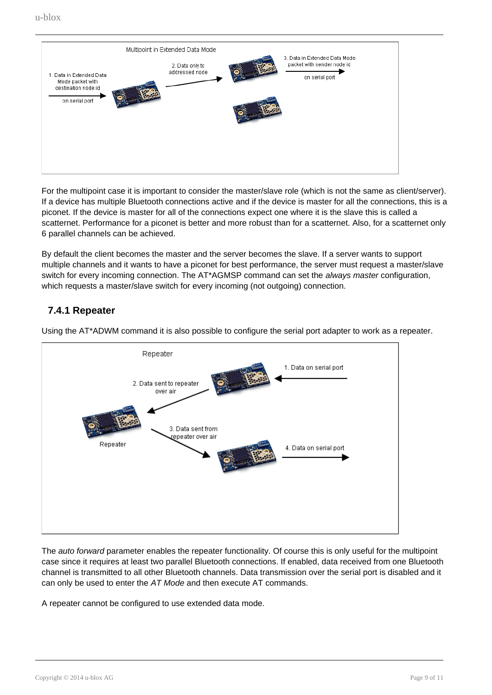

For the multipoint case it is important to consider the master/slave role (which is not the same as client/server). If a device has multiple Bluetooth connections active and if the device is master for all the connections, this is a piconet. If the device is master for all of the connections expect one where it is the slave this is called a scatternet. Performance for a piconet is better and more robust than for a scatternet. Also, for a scatternet only 6 parallel channels can be achieved.

By default the client becomes the master and the server becomes the slave. If a server wants to support multiple channels and it wants to have a piconet for best performance, the server must request a master/slave switch for every incoming connection. The AT\*AGMSP command can set the *always master* configuration, which requests a master/slave switch for every incoming (not outgoing) connection.

#### **7.4.1 Repeater**



<span id="page-8-0"></span>Using the AT\*ADWM command it is also possible to configure the serial port adapter to work as a repeater.

The *auto forward* parameter enables the repeater functionality. Of course this is only useful for the multipoint case since it requires at least two parallel Bluetooth connections. If enabled, data received from one Bluetooth channel is transmitted to all other Bluetooth channels. Data transmission over the serial port is disabled and it can only be used to enter the AT Mode and then execute AT commands.

A repeater cannot be configured to use extended data mode.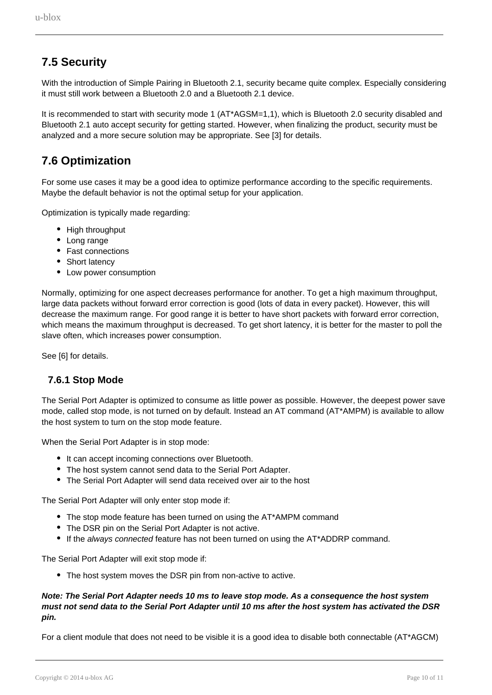### <span id="page-9-0"></span>**7.5 Security**

With the introduction of Simple Pairing in Bluetooth 2.1, security became quite complex. Especially considering it must still work between a Bluetooth 2.0 and a Bluetooth 2.1 device.

It is recommended to start with security mode 1 (AT\*AGSM=1,1), which is Bluetooth 2.0 security disabled and Bluetooth 2.1 auto accept security for getting started. However, when finalizing the product, security must be analyzed and a more secure solution may be appropriate. See [3] for details.

### <span id="page-9-1"></span>**7.6 Optimization**

For some use cases it may be a good idea to optimize performance according to the specific requirements. Maybe the default behavior is not the optimal setup for your application.

Optimization is typically made regarding:

- High throughput
- Long range
- Fast connections
- Short latency
- Low power consumption

Normally, optimizing for one aspect decreases performance for another. To get a high maximum throughput, large data packets without forward error correction is good (lots of data in every packet). However, this will decrease the maximum range. For good range it is better to have short packets with forward error correction, which means the maximum throughput is decreased. To get short latency, it is better for the master to poll the slave often, which increases power consumption.

See [6] for details.

#### **7.6.1 Stop Mode**

<span id="page-9-2"></span>The Serial Port Adapter is optimized to consume as little power as possible. However, the deepest power save mode, called stop mode, is not turned on by default. Instead an AT command (AT\*AMPM) is available to allow the host system to turn on the stop mode feature.

When the Serial Port Adapter is in stop mode:

- It can accept incoming connections over Bluetooth.
- The host system cannot send data to the Serial Port Adapter.
- The Serial Port Adapter will send data received over air to the host

The Serial Port Adapter will only enter stop mode if:

- The stop mode feature has been turned on using the AT\*AMPM command
- The DSR pin on the Serial Port Adapter is not active.
- If the always connected feature has not been turned on using the AT\*ADDRP command.

The Serial Port Adapter will exit stop mode if:

• The host system moves the DSR pin from non-active to active.

#### **Note: The Serial Port Adapter needs 10 ms to leave stop mode. As a consequence the host system must not send data to the Serial Port Adapter until 10 ms after the host system has activated the DSR pin.**

For a client module that does not need to be visible it is a good idea to disable both connectable (AT\*AGCM)